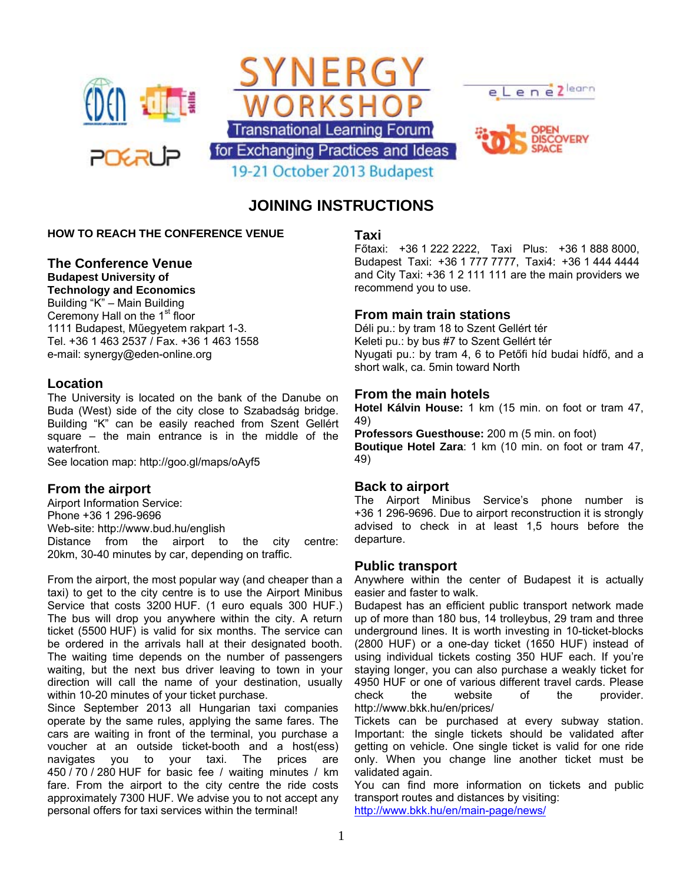

# **JOINING INSTRUCTIONS**

#### **HOW TO REACH THE CONFERENCE VENUE**

# **The Conference Venue**

**Budapest University of Technology and Economics**  Building "K" – Main Building Ceremony Hall on the 1<sup>st</sup> floor 1111 Budapest, Műegyetem rakpart 1-3.

Tel. +36 1 463 2537 / Fax. +36 1 463 1558 e-mail: synergy@eden-online.org

#### **Location**

The University is located on the bank of the Danube on Buda (West) side of the city close to Szabadság bridge. Building "K" can be easily reached from Szent Gellért square – the main entrance is in the middle of the waterfront.

See location map: http://goo.gl/maps/oAyf5

# **From the airport**

Airport Information Service: Phone +36 1 296-9696 Web-site: http://www.bud.hu/english Distance from the airport to the city centre: 20km, 30-40 minutes by car, depending on traffic.

From the airport, the most popular way (and cheaper than a taxi) to get to the city centre is to use the Airport Minibus Service that costs 3200 HUF. (1 euro equals 300 HUF.) The bus will drop you anywhere within the city. A return ticket (5500 HUF) is valid for six months. The service can be ordered in the arrivals hall at their designated booth. The waiting time depends on the number of passengers waiting, but the next bus driver leaving to town in your direction will call the name of your destination, usually within 10-20 minutes of your ticket purchase.

Since September 2013 all Hungarian taxi companies operate by the same rules, applying the same fares. The cars are waiting in front of the terminal, you purchase a voucher at an outside ticket-booth and a host(ess) navigates you to your taxi. The prices are 450 / 70 / 280 HUF for basic fee / waiting minutes / km fare. From the airport to the city centre the ride costs approximately 7300 HUF. We advise you to not accept any personal offers for taxi services within the terminal!

#### **Taxi**

Főtaxi: +36 1 222 2222, Taxi Plus: +36 1 888 8000, Budapest Taxi: +36 1 777 7777, Taxi4: +36 1 444 4444 and City Taxi: +36 1 2 111 111 are the main providers we recommend you to use.

#### **From main train stations**

Déli pu.: by tram 18 to Szent Gellért tér Keleti pu.: by bus #7 to Szent Gellért tér Nyugati pu.: by tram 4, 6 to Petőfi híd budai hídfő, and a short walk, ca. 5min toward North

#### **From the main hotels**

**Hotel Kálvin House:** 1 km (15 min. on foot or tram 47, 49)

**Professors Guesthouse:** 200 m (5 min. on foot) **Boutique Hotel Zara**: 1 km (10 min. on foot or tram 47, 49)

#### **Back to airport**

The Airport Minibus Service's phone number is +36 1 296-9696. Due to airport reconstruction it is strongly advised to check in at least 1,5 hours before the departure.

#### **Public transport**

Anywhere within the center of Budapest it is actually easier and faster to walk.

Budapest has an efficient public transport network made up of more than 180 bus, 14 trolleybus, 29 tram and three underground lines. It is worth investing in 10-ticket-blocks (2800 HUF) or a one-day ticket (1650 HUF) instead of using individual tickets costing 350 HUF each. If you're staying longer, you can also purchase a weakly ticket for 4950 HUF or one of various different travel cards. Please check the website of the provider. http://www.bkk.hu/en/prices/

Tickets can be purchased at every subway station. Important: the single tickets should be validated after getting on vehicle. One single ticket is valid for one ride only. When you change line another ticket must be validated again.

You can find more information on tickets and public transport routes and distances by visiting: <http://www.bkk.hu/en/main-page/news/>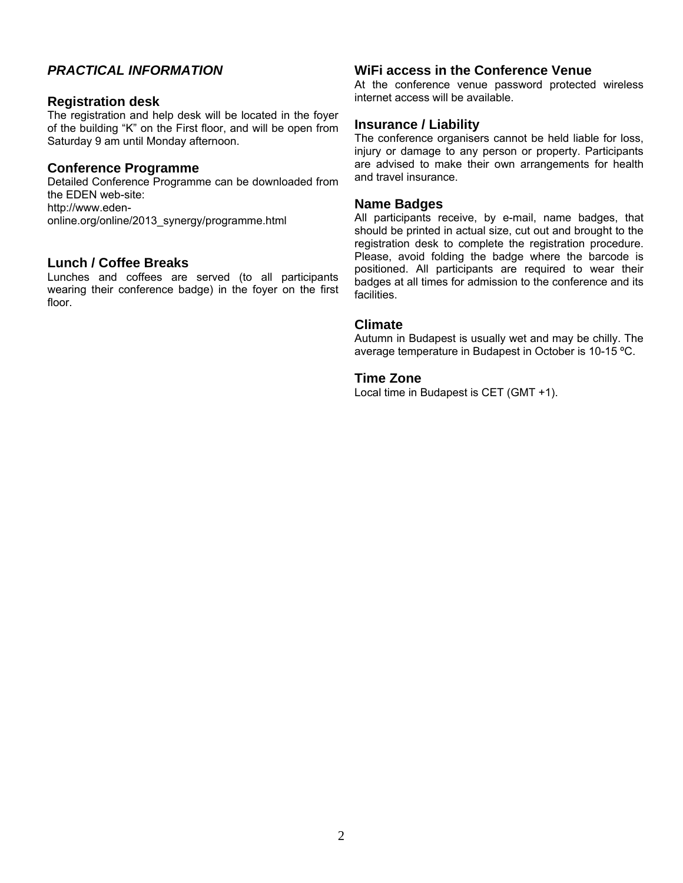# *PRACTICAL INFORMATION*

#### **Registration desk**

The registration and help desk will be located in the foyer of the building "K" on the First floor, and will be open from Saturday 9 am until Monday afternoon.

#### **Conference Programme**

Detailed Conference Programme can be downloaded from the EDEN web-site: http://www.edenonline.org/online/2013\_synergy/programme.html

# **Lunch / Coffee Breaks**

Lunches and coffees are served (to all participants wearing their conference badge) in the foyer on the first floor.

#### **WiFi access in the Conference Venue**

At the conference venue password protected wireless internet access will be available.

# **Insurance / Liability**

The conference organisers cannot be held liable for loss, injury or damage to any person or property. Participants are advised to make their own arrangements for health and travel insurance.

#### **Name Badges**

All participants receive, by e-mail, name badges, that should be printed in actual size, cut out and brought to the registration desk to complete the registration procedure. Please, avoid folding the badge where the barcode is positioned. All participants are required to wear their badges at all times for admission to the conference and its facilities.

#### **Climate**

Autumn in Budapest is usually wet and may be chilly. The average temperature in Budapest in October is 10-15 ºC.

#### **Time Zone**

Local time in Budapest is CET (GMT +1).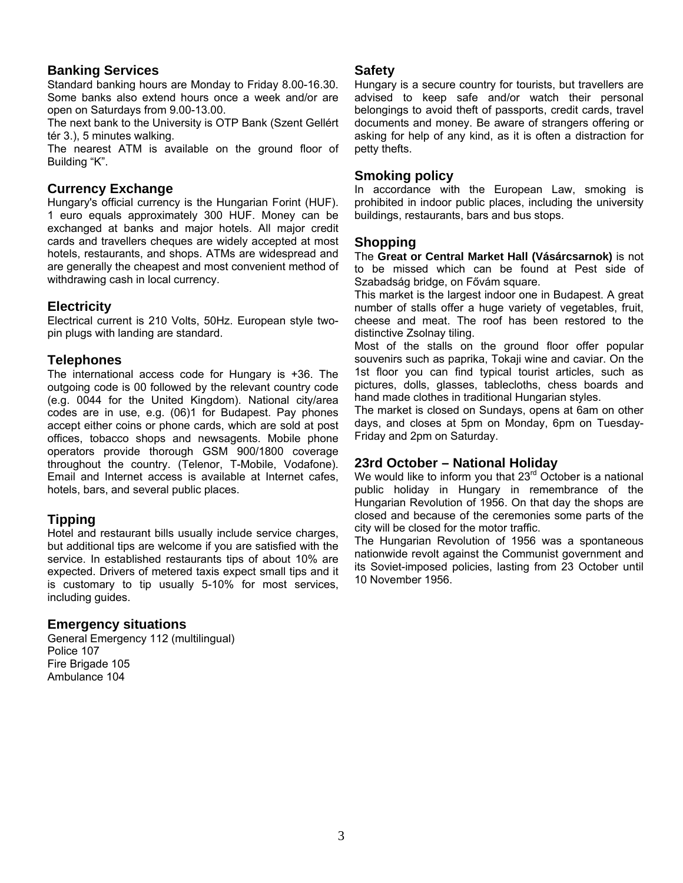# **Banking Services**

Standard banking hours are Monday to Friday 8.00-16.30. Some banks also extend hours once a week and/or are open on Saturdays from 9.00-13.00.

The next bank to the University is OTP Bank (Szent Gellért tér 3.), 5 minutes walking.

The nearest ATM is available on the ground floor of Building "K".

# **Currency Exchange**

Hungary's official currency is the Hungarian Forint (HUF). 1 euro equals approximately 300 HUF. Money can be exchanged at banks and major hotels. All major credit cards and travellers cheques are widely accepted at most hotels, restaurants, and shops. ATMs are widespread and are generally the cheapest and most convenient method of withdrawing cash in local currency.

# **Electricity**

Electrical current is 210 Volts, 50Hz. European style twopin plugs with landing are standard.

#### **Telephones**

The international access code for Hungary is +36. The outgoing code is 00 followed by the relevant country code (e.g. 0044 for the United Kingdom). National city/area codes are in use, e.g. (06)1 for Budapest. Pay phones accept either coins or phone cards, which are sold at post offices, tobacco shops and newsagents. Mobile phone operators provide thorough GSM 900/1800 coverage throughout the country. (Telenor, T-Mobile, Vodafone). Email and Internet access is available at Internet cafes, hotels, bars, and several public places.

# **Tipping**

Hotel and restaurant bills usually include service charges, but additional tips are welcome if you are satisfied with the service. In established restaurants tips of about 10% are expected. Drivers of metered taxis expect small tips and it is customary to tip usually 5-10% for most services, including guides.

# **Emergency situations**

General Emergency 112 (multilingual) Police 107 Fire Brigade 105 Ambulance 104

#### **Safety**

Hungary is a secure country for tourists, but travellers are advised to keep safe and/or watch their personal belongings to avoid theft of passports, credit cards, travel documents and money. Be aware of strangers offering or asking for help of any kind, as it is often a distraction for petty thefts.

#### **Smoking policy**

In accordance with the European Law, smoking is prohibited in indoor public places, including the university buildings, restaurants, bars and bus stops.

#### **Shopping**

The **Great or Central Market Hall (Vásárcsarnok)** is not to be missed which can be found at Pest side of Szabadság bridge, on Fővám square.

This market is the largest indoor one in [Budapest.](http://en.wikipedia.org/wiki/Budapest) A great number of stalls offer a huge variety of vegetables, fruit, cheese and meat. The roof has been restored to the distinctive Zsolnay tiling.

Most of the stalls on the ground floor offer popular souvenirs such as [paprika,](http://en.wikipedia.org/wiki/Paprika) Tokaji wine and [caviar.](http://en.wikipedia.org/wiki/Caviar) On the 1st floor you can find typical tourist articles, such as pictures, dolls, glasses, tablecloths, chess boards and hand made clothes in traditional Hungarian styles.

The market is closed on Sundays, opens at 6am on other days, and closes at 5pm on Monday, 6pm on Tuesday-Friday and 2pm on Saturday.

# **23rd October – National Holiday**

We would like to inform you that 23<sup>rd</sup> October is a national public holiday in Hungary in remembrance of the Hungarian Revolution of 1956. On that day the shops are closed and because of the ceremonies some parts of the city will be closed for the motor traffic.

The Hungarian Revolution of 1956 was a spontaneous nationwide [revolt](http://en.wikipedia.org/wiki/Revolt) against the Communist government and its [Soviet](http://en.wikipedia.org/wiki/Soviet_Union)-imposed policies, lasting from 23 October until 10 November 1956.